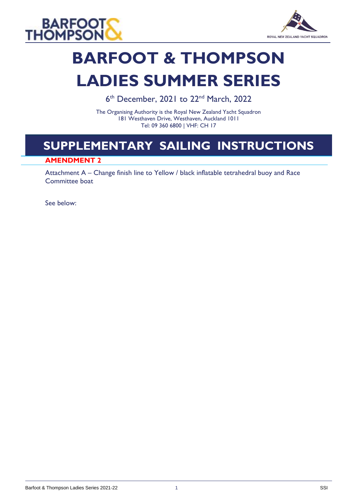



## **BARFOOT & THOMPSON LADIES SUMMER SERIES**

6<sup>th</sup> December, 2021 to 22<sup>nd</sup> March, 2022

The Organising Authority is the Royal New Zealand Yacht Squadron 181 Westhaven Drive, Westhaven, Auckland 1011 Tel: 09 360 6800 | VHF: CH 17

### **SUPPLEMENTARY SAILING INSTRUCTIONS**

#### **AMENDMENT 2**

Attachment A – Change finish line to Yellow / black inflatable tetrahedral buoy and Race Committee boat

See below: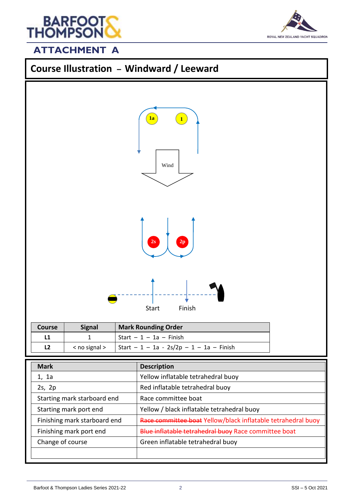

# ROYAL NEW ZEALAND YACHT SQUADRON

#### **ATTACHMENT A**



|  |  | $\leq$ no signal $>$   Start - 1 - 1a - 2s/2p - 1 - 1a - Finish |
|--|--|-----------------------------------------------------------------|
|--|--|-----------------------------------------------------------------|

| <b>Mark</b>                  | <b>Description</b>                                           |
|------------------------------|--------------------------------------------------------------|
| 1, 1a                        | Yellow inflatable tetrahedral buoy                           |
| 2s, 2p                       | Red inflatable tetrahedral buoy                              |
| Starting mark starboard end  | Race committee boat                                          |
| Starting mark port end       | Yellow / black inflatable tetrahedral buoy                   |
| Finishing mark starboard end | Race committee boat Yellow/black inflatable tetrahedral buoy |
| Finishing mark port end      | Blue inflatable tetrahedral buoy Race committee boat         |
| Change of course             | Green inflatable tetrahedral buoy                            |
|                              |                                                              |